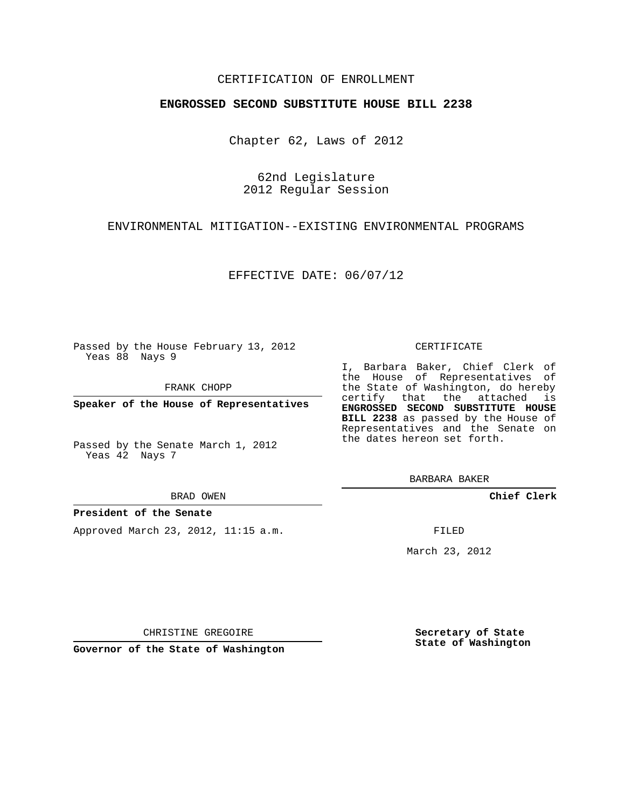## CERTIFICATION OF ENROLLMENT

## **ENGROSSED SECOND SUBSTITUTE HOUSE BILL 2238**

Chapter 62, Laws of 2012

62nd Legislature 2012 Regular Session

ENVIRONMENTAL MITIGATION--EXISTING ENVIRONMENTAL PROGRAMS

EFFECTIVE DATE: 06/07/12

Passed by the House February 13, 2012 Yeas 88 Nays 9

FRANK CHOPP

**Speaker of the House of Representatives**

Passed by the Senate March 1, 2012 Yeas 42 Nays 7

BRAD OWEN

## **President of the Senate**

Approved March 23, 2012, 11:15 a.m.

#### CERTIFICATE

I, Barbara Baker, Chief Clerk of the House of Representatives of the State of Washington, do hereby certify that the attached is **ENGROSSED SECOND SUBSTITUTE HOUSE BILL 2238** as passed by the House of Representatives and the Senate on the dates hereon set forth.

BARBARA BAKER

**Chief Clerk**

FILED

March 23, 2012

**Secretary of State State of Washington**

CHRISTINE GREGOIRE

**Governor of the State of Washington**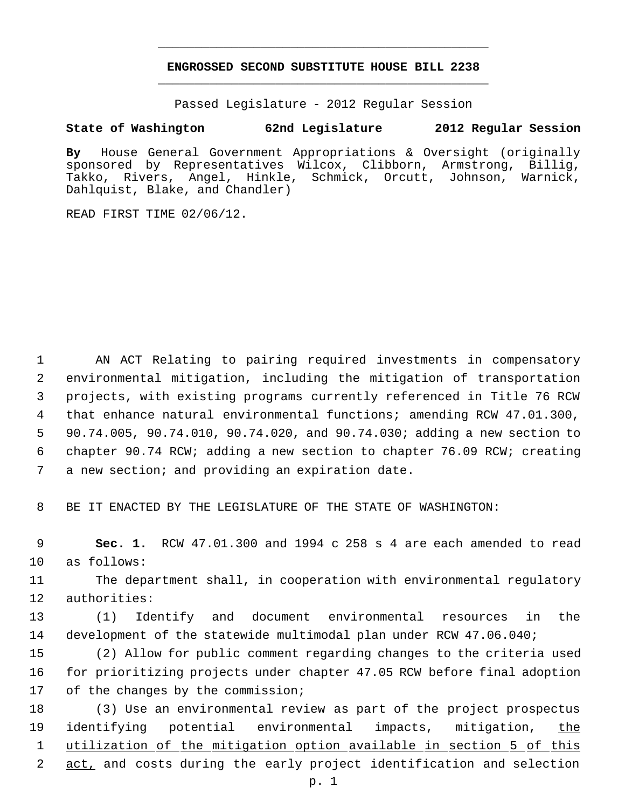# **ENGROSSED SECOND SUBSTITUTE HOUSE BILL 2238** \_\_\_\_\_\_\_\_\_\_\_\_\_\_\_\_\_\_\_\_\_\_\_\_\_\_\_\_\_\_\_\_\_\_\_\_\_\_\_\_\_\_\_\_\_

\_\_\_\_\_\_\_\_\_\_\_\_\_\_\_\_\_\_\_\_\_\_\_\_\_\_\_\_\_\_\_\_\_\_\_\_\_\_\_\_\_\_\_\_\_

Passed Legislature - 2012 Regular Session

# **State of Washington 62nd Legislature 2012 Regular Session**

**By** House General Government Appropriations & Oversight (originally sponsored by Representatives Wilcox, Clibborn, Armstrong, Billig, Takko, Rivers, Angel, Hinkle, Schmick, Orcutt, Johnson, Warnick, Dahlquist, Blake, and Chandler)

READ FIRST TIME 02/06/12.

 AN ACT Relating to pairing required investments in compensatory environmental mitigation, including the mitigation of transportation projects, with existing programs currently referenced in Title 76 RCW that enhance natural environmental functions; amending RCW 47.01.300, 90.74.005, 90.74.010, 90.74.020, and 90.74.030; adding a new section to chapter 90.74 RCW; adding a new section to chapter 76.09 RCW; creating a new section; and providing an expiration date.

8 BE IT ENACTED BY THE LEGISLATURE OF THE STATE OF WASHINGTON:

 9 **Sec. 1.** RCW 47.01.300 and 1994 c 258 s 4 are each amended to read 10 as follows:

11 The department shall, in cooperation with environmental regulatory 12 authorities:

13 (1) Identify and document environmental resources in the 14 development of the statewide multimodal plan under RCW 47.06.040;

15 (2) Allow for public comment regarding changes to the criteria used 16 for prioritizing projects under chapter 47.05 RCW before final adoption 17 of the changes by the commission;

 (3) Use an environmental review as part of the project prospectus 19 identifying potential environmental impacts, mitigation, the utilization of the mitigation option available in section 5 of this act, and costs during the early project identification and selection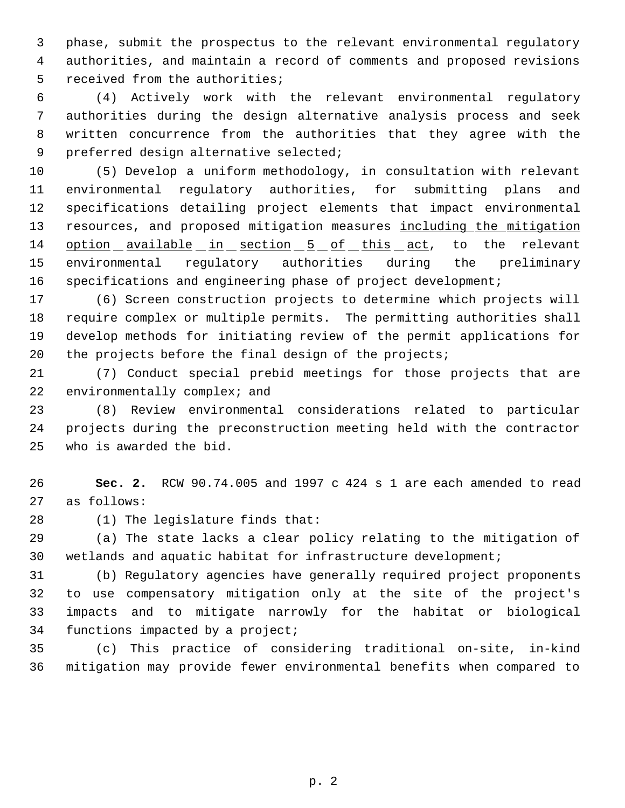phase, submit the prospectus to the relevant environmental regulatory authorities, and maintain a record of comments and proposed revisions received from the authorities;

 (4) Actively work with the relevant environmental regulatory authorities during the design alternative analysis process and seek written concurrence from the authorities that they agree with the preferred design alternative selected;

 (5) Develop a uniform methodology, in consultation with relevant environmental regulatory authorities, for submitting plans and specifications detailing project elements that impact environmental 13 resources, and proposed mitigation measures including the mitigation 14 option available in section 5 of this act, to the relevant environmental regulatory authorities during the preliminary specifications and engineering phase of project development;

 (6) Screen construction projects to determine which projects will require complex or multiple permits. The permitting authorities shall develop methods for initiating review of the permit applications for 20 the projects before the final design of the projects;

 (7) Conduct special prebid meetings for those projects that are 22 environmentally complex; and

 (8) Review environmental considerations related to particular projects during the preconstruction meeting held with the contractor who is awarded the bid.

 **Sec. 2.** RCW 90.74.005 and 1997 c 424 s 1 are each amended to read as follows:

(1) The legislature finds that:

 (a) The state lacks a clear policy relating to the mitigation of wetlands and aquatic habitat for infrastructure development;

 (b) Regulatory agencies have generally required project proponents to use compensatory mitigation only at the site of the project's impacts and to mitigate narrowly for the habitat or biological functions impacted by a project;

 (c) This practice of considering traditional on-site, in-kind mitigation may provide fewer environmental benefits when compared to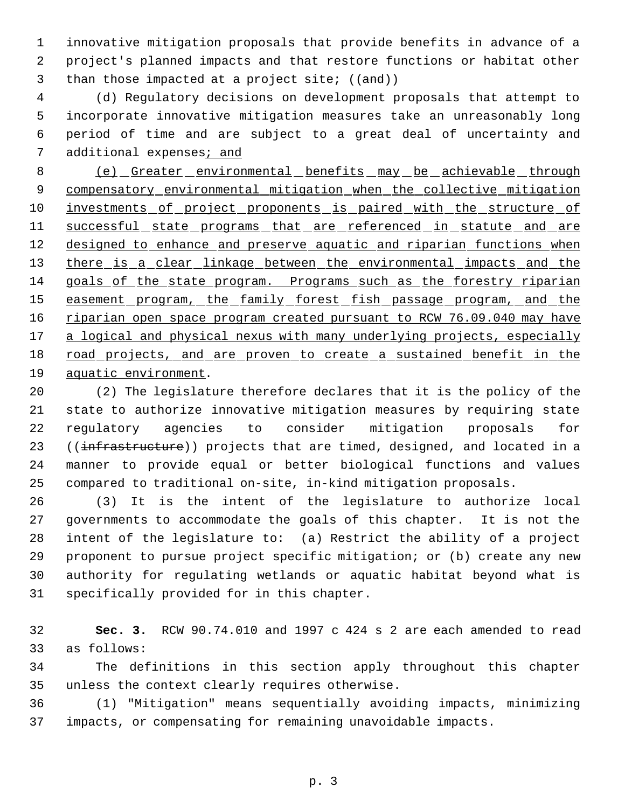innovative mitigation proposals that provide benefits in advance of a project's planned impacts and that restore functions or habitat other 3 than those impacted at a project site;  $((and))$ 

 (d) Regulatory decisions on development proposals that attempt to incorporate innovative mitigation measures take an unreasonably long period of time and are subject to a great deal of uncertainty and additional expenses; and

8 (e) Greater environmental benefits may be achievable through 9 compensatory environmental mitigation when the collective mitigation 10 investments of project proponents is paired with the structure of 11 successful state programs that are referenced in statute and are 12 designed to enhance and preserve aquatic and riparian functions when 13 there is a clear linkage between the environmental impacts and the goals of the state program. Programs such as the forestry riparian 15 easement program, the family forest fish passage program, and the 16 riparian open space program created pursuant to RCW 76.09.040 may have 17 a logical and physical nexus with many underlying projects, especially road projects, and are proven to create a sustained benefit in the aquatic environment.

 (2) The legislature therefore declares that it is the policy of the state to authorize innovative mitigation measures by requiring state regulatory agencies to consider mitigation proposals for 23 ((infrastructure)) projects that are timed, designed, and located in a manner to provide equal or better biological functions and values compared to traditional on-site, in-kind mitigation proposals.

 (3) It is the intent of the legislature to authorize local governments to accommodate the goals of this chapter. It is not the intent of the legislature to: (a) Restrict the ability of a project proponent to pursue project specific mitigation; or (b) create any new authority for regulating wetlands or aquatic habitat beyond what is specifically provided for in this chapter.

 **Sec. 3.** RCW 90.74.010 and 1997 c 424 s 2 are each amended to read as follows:

 The definitions in this section apply throughout this chapter unless the context clearly requires otherwise.

 (1) "Mitigation" means sequentially avoiding impacts, minimizing impacts, or compensating for remaining unavoidable impacts.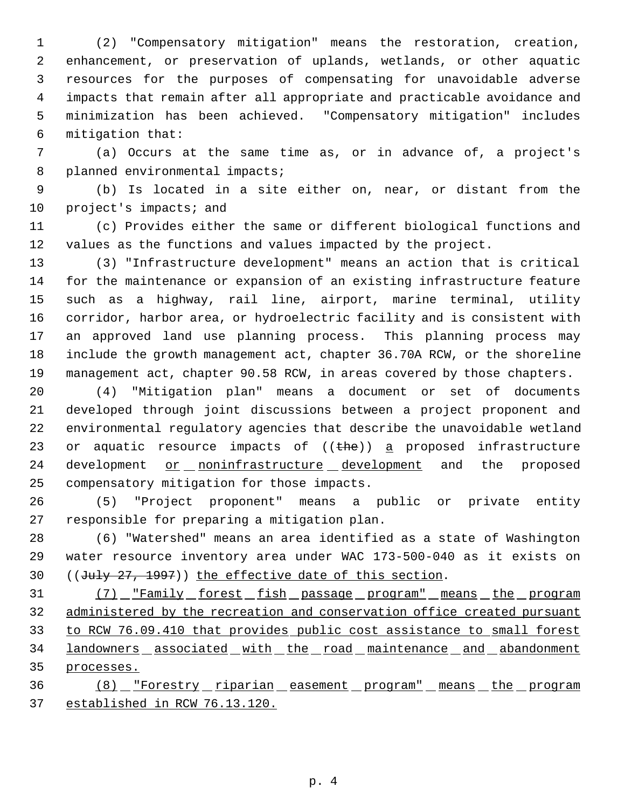(2) "Compensatory mitigation" means the restoration, creation, enhancement, or preservation of uplands, wetlands, or other aquatic resources for the purposes of compensating for unavoidable adverse impacts that remain after all appropriate and practicable avoidance and minimization has been achieved. "Compensatory mitigation" includes mitigation that:

 (a) Occurs at the same time as, or in advance of, a project's 8 planned environmental impacts;

 (b) Is located in a site either on, near, or distant from the 10 project's impacts; and

 (c) Provides either the same or different biological functions and values as the functions and values impacted by the project.

 (3) "Infrastructure development" means an action that is critical for the maintenance or expansion of an existing infrastructure feature such as a highway, rail line, airport, marine terminal, utility corridor, harbor area, or hydroelectric facility and is consistent with an approved land use planning process. This planning process may include the growth management act, chapter 36.70A RCW, or the shoreline management act, chapter 90.58 RCW, in areas covered by those chapters.

 (4) "Mitigation plan" means a document or set of documents developed through joint discussions between a project proponent and environmental regulatory agencies that describe the unavoidable wetland 23 or aquatic resource impacts of  $((the))$  a proposed infrastructure 24 development or noninfrastructure development and the proposed compensatory mitigation for those impacts.

 (5) "Project proponent" means a public or private entity responsible for preparing a mitigation plan.

 (6) "Watershed" means an area identified as a state of Washington water resource inventory area under WAC 173-500-040 as it exists on 30 ((July 27, 1997)) the effective date of this section.

31 (7) Family forest fish passage program" means the program 32 administered by the recreation and conservation office created pursuant to RCW 76.09.410 that provides public cost assistance to small forest 34 landowners associated with the road maintenance and abandonment processes.

36 (8) Forestry riparian easement program" means the program established in RCW 76.13.120.

p. 4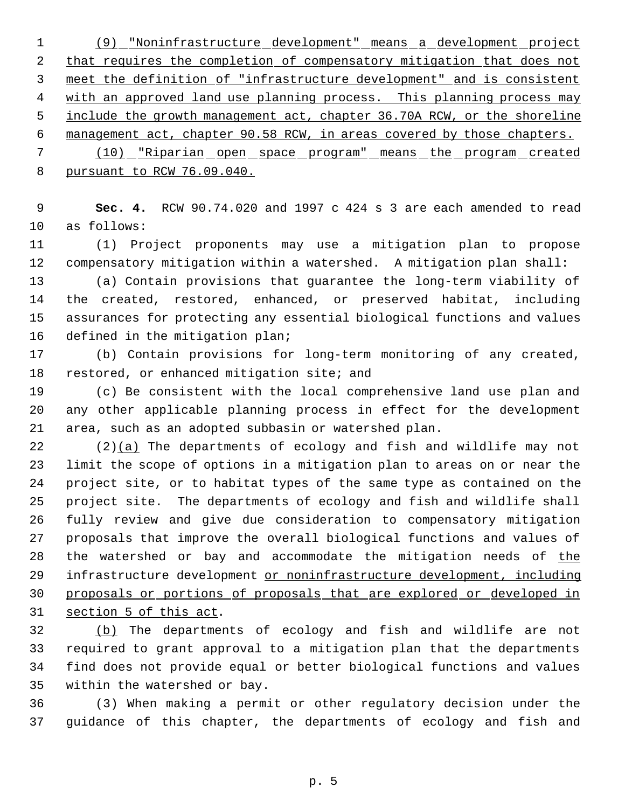(9) "Noninfrastructure development" means a development project 2 that requires the completion of compensatory mitigation that does not meet the definition of "infrastructure development" and is consistent 4 with an approved land use planning process. This planning process may 5 include the growth management act, chapter 36.70A RCW, or the shoreline management act, chapter 90.58 RCW, in areas covered by those chapters. (10) "Riparian open space program" means the program created pursuant to RCW 76.09.040.

 **Sec. 4.** RCW 90.74.020 and 1997 c 424 s 3 are each amended to read as follows:

 (1) Project proponents may use a mitigation plan to propose compensatory mitigation within a watershed. A mitigation plan shall:

 (a) Contain provisions that guarantee the long-term viability of the created, restored, enhanced, or preserved habitat, including assurances for protecting any essential biological functions and values defined in the mitigation plan;

 (b) Contain provisions for long-term monitoring of any created, 18 restored, or enhanced mitigation site; and

 (c) Be consistent with the local comprehensive land use plan and any other applicable planning process in effect for the development area, such as an adopted subbasin or watershed plan.

 $(2)(a)$  The departments of ecology and fish and wildlife may not limit the scope of options in a mitigation plan to areas on or near the project site, or to habitat types of the same type as contained on the project site. The departments of ecology and fish and wildlife shall fully review and give due consideration to compensatory mitigation proposals that improve the overall biological functions and values of 28 the watershed or bay and accommodate the mitigation needs of the 29 infrastructure development or noninfrastructure development, including proposals or portions of proposals that are explored or developed in section 5 of this act.

 (b) The departments of ecology and fish and wildlife are not required to grant approval to a mitigation plan that the departments find does not provide equal or better biological functions and values within the watershed or bay.

 (3) When making a permit or other regulatory decision under the guidance of this chapter, the departments of ecology and fish and

p. 5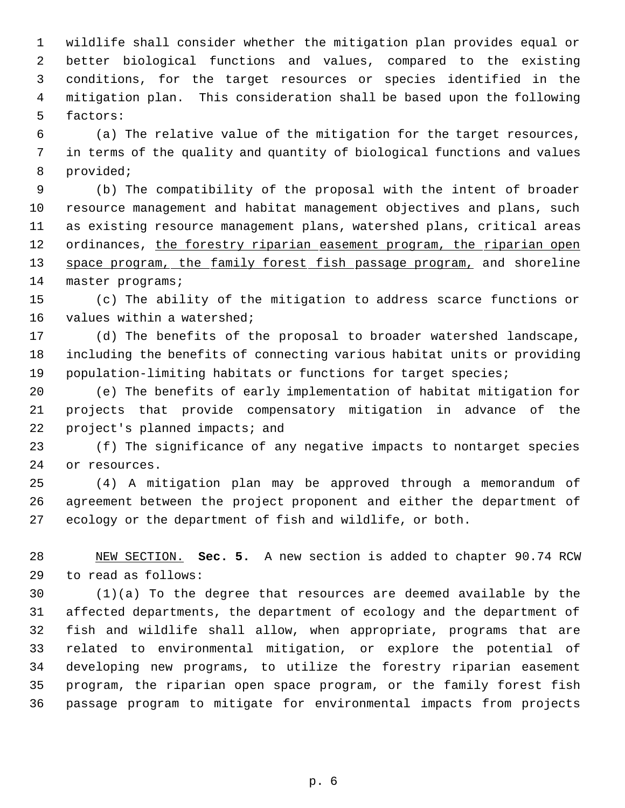wildlife shall consider whether the mitigation plan provides equal or better biological functions and values, compared to the existing conditions, for the target resources or species identified in the mitigation plan. This consideration shall be based upon the following factors:

 (a) The relative value of the mitigation for the target resources, in terms of the quality and quantity of biological functions and values provided;

 (b) The compatibility of the proposal with the intent of broader resource management and habitat management objectives and plans, such as existing resource management plans, watershed plans, critical areas 12 ordinances, the forestry riparian easement program, the riparian open 13 space program, the family forest fish passage program, and shoreline 14 master programs;

 (c) The ability of the mitigation to address scarce functions or values within a watershed;

 (d) The benefits of the proposal to broader watershed landscape, including the benefits of connecting various habitat units or providing population-limiting habitats or functions for target species;

 (e) The benefits of early implementation of habitat mitigation for projects that provide compensatory mitigation in advance of the project's planned impacts; and

 (f) The significance of any negative impacts to nontarget species or resources.

 (4) A mitigation plan may be approved through a memorandum of agreement between the project proponent and either the department of ecology or the department of fish and wildlife, or both.

 NEW SECTION. **Sec. 5.** A new section is added to chapter 90.74 RCW to read as follows:

 (1)(a) To the degree that resources are deemed available by the affected departments, the department of ecology and the department of fish and wildlife shall allow, when appropriate, programs that are related to environmental mitigation, or explore the potential of developing new programs, to utilize the forestry riparian easement program, the riparian open space program, or the family forest fish passage program to mitigate for environmental impacts from projects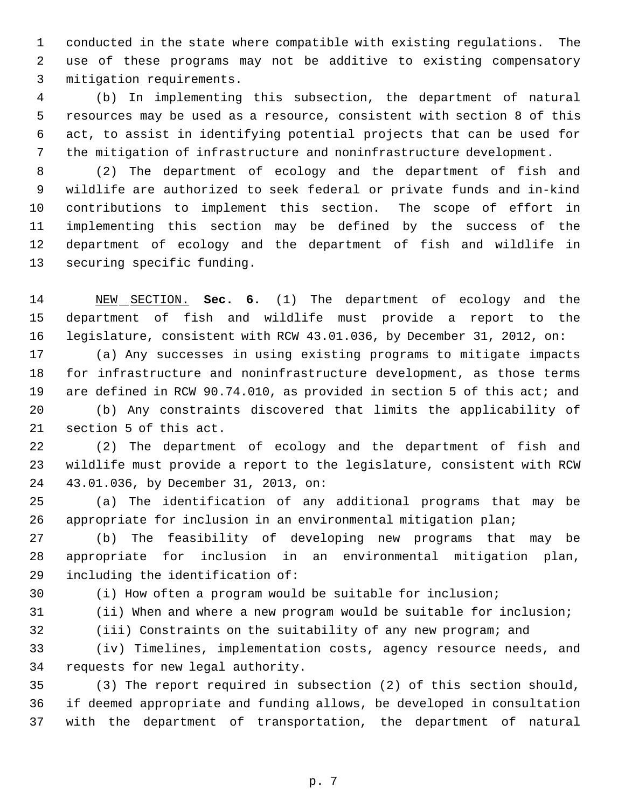conducted in the state where compatible with existing regulations. The use of these programs may not be additive to existing compensatory mitigation requirements.

 (b) In implementing this subsection, the department of natural resources may be used as a resource, consistent with section 8 of this act, to assist in identifying potential projects that can be used for the mitigation of infrastructure and noninfrastructure development.

 (2) The department of ecology and the department of fish and wildlife are authorized to seek federal or private funds and in-kind contributions to implement this section. The scope of effort in implementing this section may be defined by the success of the department of ecology and the department of fish and wildlife in securing specific funding.

 NEW SECTION. **Sec. 6.** (1) The department of ecology and the department of fish and wildlife must provide a report to the legislature, consistent with RCW 43.01.036, by December 31, 2012, on:

 (a) Any successes in using existing programs to mitigate impacts for infrastructure and noninfrastructure development, as those terms are defined in RCW 90.74.010, as provided in section 5 of this act; and

 (b) Any constraints discovered that limits the applicability of section 5 of this act.

 (2) The department of ecology and the department of fish and wildlife must provide a report to the legislature, consistent with RCW 43.01.036, by December 31, 2013, on:

 (a) The identification of any additional programs that may be appropriate for inclusion in an environmental mitigation plan;

 (b) The feasibility of developing new programs that may be appropriate for inclusion in an environmental mitigation plan, including the identification of:

(i) How often a program would be suitable for inclusion;

- (ii) When and where a new program would be suitable for inclusion;
- 

(iii) Constraints on the suitability of any new program; and

 (iv) Timelines, implementation costs, agency resource needs, and requests for new legal authority.

 (3) The report required in subsection (2) of this section should, if deemed appropriate and funding allows, be developed in consultation with the department of transportation, the department of natural